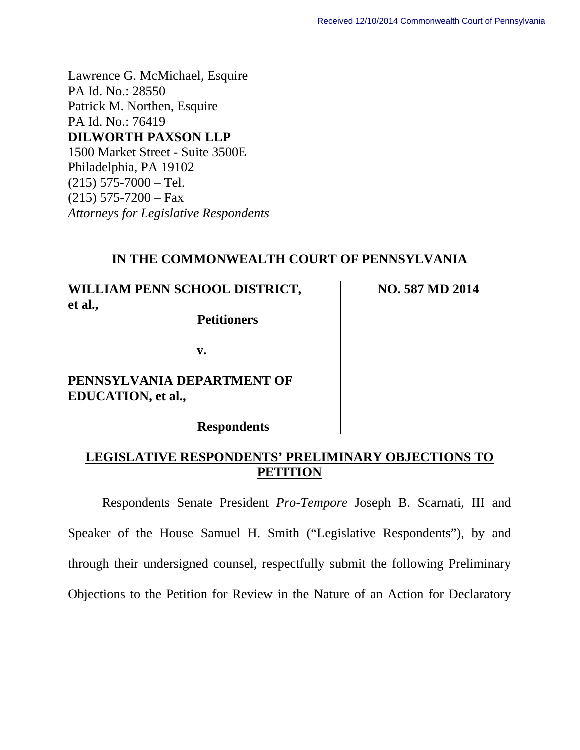Lawrence G. McMichael, Esquire PA Id. No.: 28550 Patrick M. Northen, Esquire PA Id. No.: 76419 **DILWORTH PAXSON LLP**  1500 Market Street - Suite 3500E Philadelphia, PA 19102  $(215)$  575-7000 – Tel.  $(215)$  575-7200 – Fax *Attorneys for Legislative Respondents* 

### **IN THE COMMONWEALTH COURT OF PENNSYLVANIA**

**WILLIAM PENN SCHOOL DISTRICT, et al.,** 

 **Petitioners** 

**NO. 587 MD 2014** 

**v.** 

**PENNSYLVANIA DEPARTMENT OF EDUCATION, et al.,** 

 **Respondents** 

# **LEGISLATIVE RESPONDENTS' PRELIMINARY OBJECTIONS TO PETITION**

Respondents Senate President *Pro-Tempore* Joseph B. Scarnati, III and Speaker of the House Samuel H. Smith ("Legislative Respondents"), by and through their undersigned counsel, respectfully submit the following Preliminary Objections to the Petition for Review in the Nature of an Action for Declaratory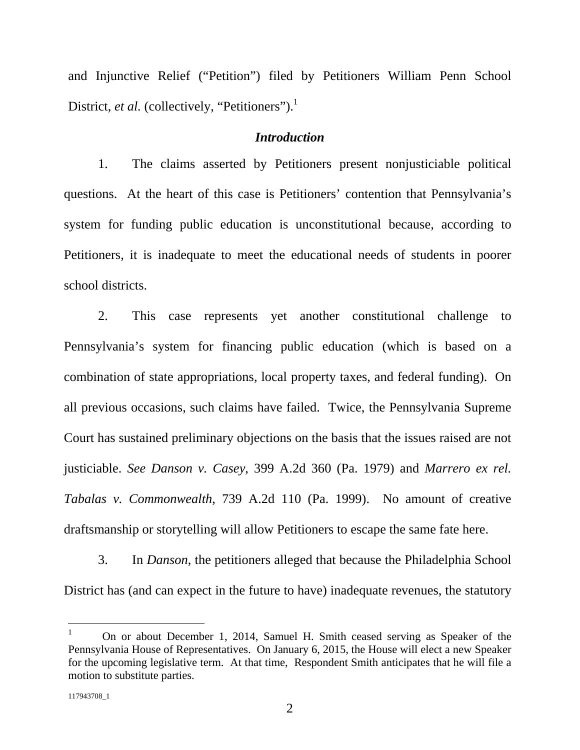and Injunctive Relief ("Petition") filed by Petitioners William Penn School District, *et al.* (collectively, "Petitioners").<sup>1</sup>

#### *Introduction*

1. The claims asserted by Petitioners present nonjusticiable political questions. At the heart of this case is Petitioners' contention that Pennsylvania's system for funding public education is unconstitutional because, according to Petitioners, it is inadequate to meet the educational needs of students in poorer school districts.

2. This case represents yet another constitutional challenge to Pennsylvania's system for financing public education (which is based on a combination of state appropriations, local property taxes, and federal funding). On all previous occasions, such claims have failed. Twice, the Pennsylvania Supreme Court has sustained preliminary objections on the basis that the issues raised are not justiciable. *See Danson v. Casey*, 399 A.2d 360 (Pa. 1979) and *Marrero ex rel. Tabalas v. Commonwealth*, 739 A.2d 110 (Pa. 1999). No amount of creative draftsmanship or storytelling will allow Petitioners to escape the same fate here.

3. In *Danson*, the petitioners alleged that because the Philadelphia School District has (and can expect in the future to have) inadequate revenues, the statutory

 $\overline{a}$ 

<sup>1</sup> On or about December 1, 2014, Samuel H. Smith ceased serving as Speaker of the Pennsylvania House of Representatives. On January 6, 2015, the House will elect a new Speaker for the upcoming legislative term. At that time, Respondent Smith anticipates that he will file a motion to substitute parties.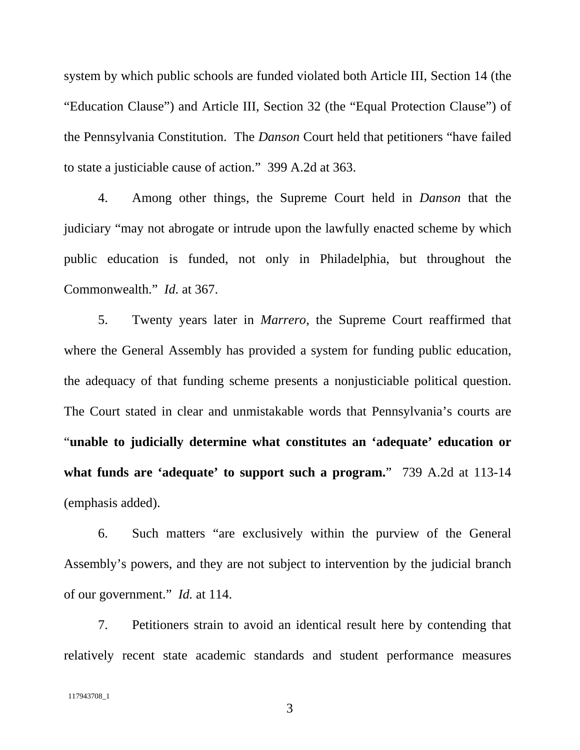system by which public schools are funded violated both Article III, Section 14 (the "Education Clause") and Article III, Section 32 (the "Equal Protection Clause") of the Pennsylvania Constitution. The *Danson* Court held that petitioners "have failed to state a justiciable cause of action." 399 A.2d at 363.

4. Among other things, the Supreme Court held in *Danson* that the judiciary "may not abrogate or intrude upon the lawfully enacted scheme by which public education is funded, not only in Philadelphia, but throughout the Commonwealth." *Id.* at 367.

5. Twenty years later in *Marrero*, the Supreme Court reaffirmed that where the General Assembly has provided a system for funding public education, the adequacy of that funding scheme presents a nonjusticiable political question. The Court stated in clear and unmistakable words that Pennsylvania's courts are "**unable to judicially determine what constitutes an 'adequate' education or what funds are 'adequate' to support such a program.**" 739 A.2d at 113-14 (emphasis added).

6. Such matters "are exclusively within the purview of the General Assembly's powers, and they are not subject to intervention by the judicial branch of our government." *Id.* at 114.

7. Petitioners strain to avoid an identical result here by contending that relatively recent state academic standards and student performance measures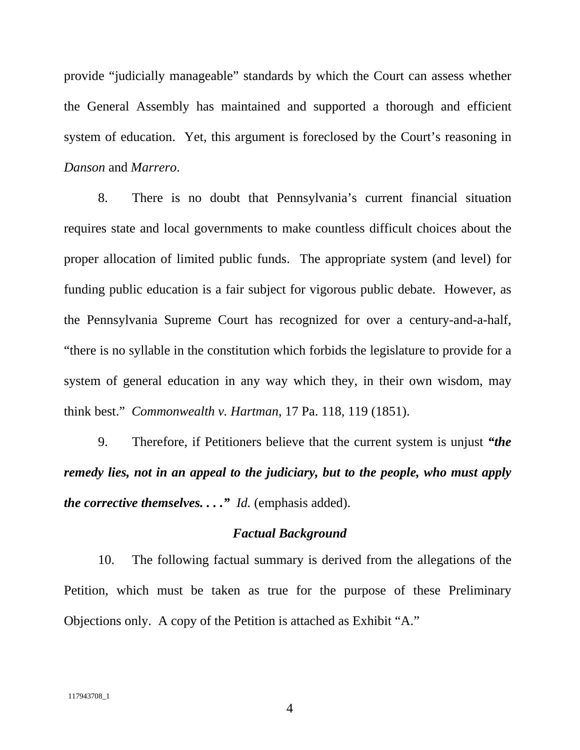provide "judicially manageable" standards by which the Court can assess whether the General Assembly has maintained and supported a thorough and efficient system of education. Yet, this argument is foreclosed by the Court's reasoning in *Danson* and *Marrero*.

8. There is no doubt that Pennsylvania's current financial situation requires state and local governments to make countless difficult choices about the proper allocation of limited public funds. The appropriate system (and level) for funding public education is a fair subject for vigorous public debate. However, as the Pennsylvania Supreme Court has recognized for over a century-and-a-half, "there is no syllable in the constitution which forbids the legislature to provide for a system of general education in any way which they, in their own wisdom, may think best." *Commonwealth v. Hartman*, 17 Pa. 118, 119 (1851).

9. Therefore, if Petitioners believe that the current system is unjust *"the remedy lies, not in an appeal to the judiciary, but to the people, who must apply the corrective themselves...." Id.* (emphasis added).

### *Factual Background*

10. The following factual summary is derived from the allegations of the Petition, which must be taken as true for the purpose of these Preliminary Objections only. A copy of the Petition is attached as Exhibit "A."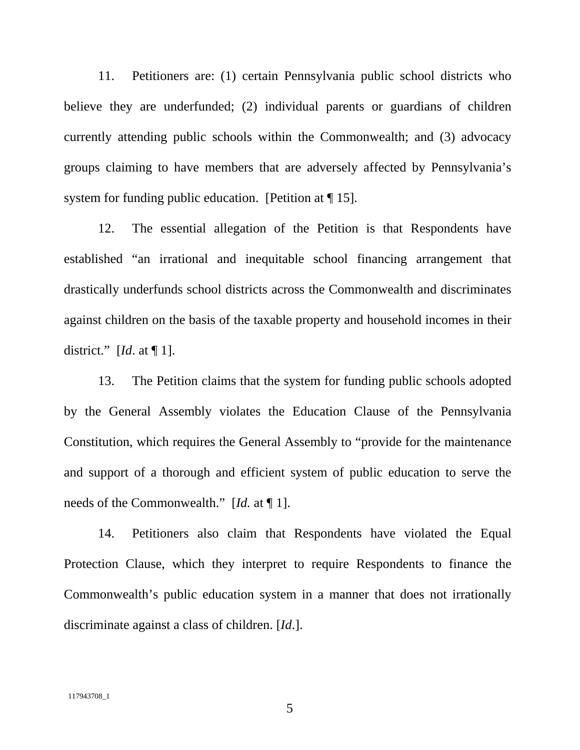11. Petitioners are: (1) certain Pennsylvania public school districts who believe they are underfunded; (2) individual parents or guardians of children currently attending public schools within the Commonwealth; and (3) advocacy groups claiming to have members that are adversely affected by Pennsylvania's system for funding public education. [Petition at  $\P$  15].

12. The essential allegation of the Petition is that Respondents have established "an irrational and inequitable school financing arrangement that drastically underfunds school districts across the Commonwealth and discriminates against children on the basis of the taxable property and household incomes in their district." [*Id*. at ¶ 1].

13. The Petition claims that the system for funding public schools adopted by the General Assembly violates the Education Clause of the Pennsylvania Constitution, which requires the General Assembly to "provide for the maintenance and support of a thorough and efficient system of public education to serve the needs of the Commonwealth." [*Id.* at ¶ 1].

14. Petitioners also claim that Respondents have violated the Equal Protection Clause, which they interpret to require Respondents to finance the Commonwealth's public education system in a manner that does not irrationally discriminate against a class of children. [*Id*.].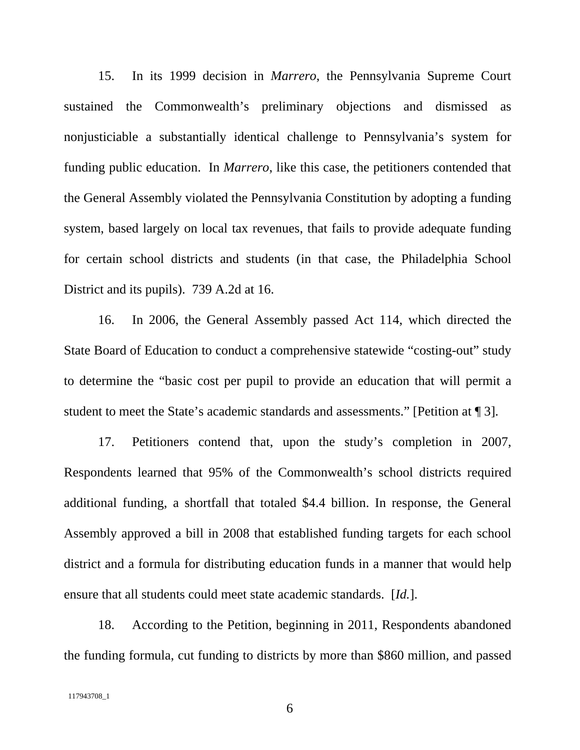15. In its 1999 decision in *Marrero*, the Pennsylvania Supreme Court sustained the Commonwealth's preliminary objections and dismissed as nonjusticiable a substantially identical challenge to Pennsylvania's system for funding public education. In *Marrero*, like this case, the petitioners contended that the General Assembly violated the Pennsylvania Constitution by adopting a funding system, based largely on local tax revenues, that fails to provide adequate funding for certain school districts and students (in that case, the Philadelphia School District and its pupils). 739 A.2d at 16.

16. In 2006, the General Assembly passed Act 114, which directed the State Board of Education to conduct a comprehensive statewide "costing-out" study to determine the "basic cost per pupil to provide an education that will permit a student to meet the State's academic standards and assessments." [Petition at ¶ 3].

17. Petitioners contend that, upon the study's completion in 2007, Respondents learned that 95% of the Commonwealth's school districts required additional funding, a shortfall that totaled \$4.4 billion. In response, the General Assembly approved a bill in 2008 that established funding targets for each school district and a formula for distributing education funds in a manner that would help ensure that all students could meet state academic standards. [*Id.*].

18. According to the Petition, beginning in 2011, Respondents abandoned the funding formula, cut funding to districts by more than \$860 million, and passed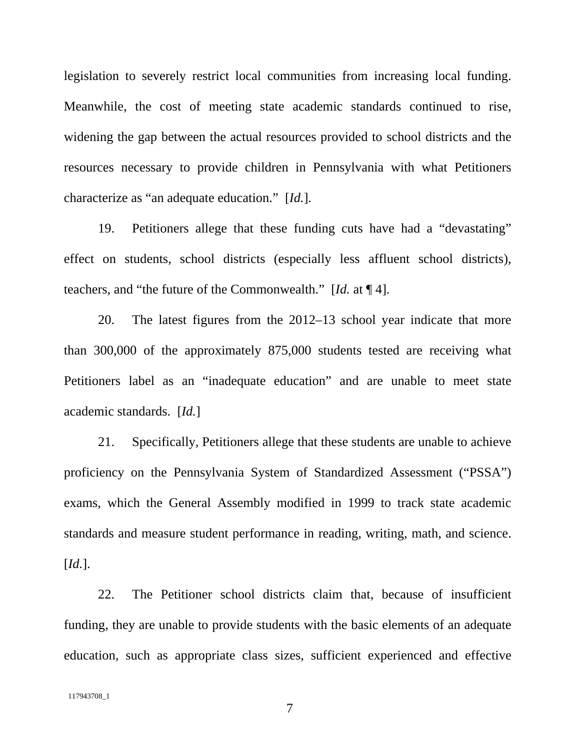legislation to severely restrict local communities from increasing local funding. Meanwhile, the cost of meeting state academic standards continued to rise, widening the gap between the actual resources provided to school districts and the resources necessary to provide children in Pennsylvania with what Petitioners characterize as "an adequate education." [*Id.*].

19. Petitioners allege that these funding cuts have had a "devastating" effect on students, school districts (especially less affluent school districts), teachers, and "the future of the Commonwealth." [*Id.* at ¶ 4].

20. The latest figures from the 2012–13 school year indicate that more than 300,000 of the approximately 875,000 students tested are receiving what Petitioners label as an "inadequate education" and are unable to meet state academic standards. [*Id.*]

21. Specifically, Petitioners allege that these students are unable to achieve proficiency on the Pennsylvania System of Standardized Assessment ("PSSA") exams, which the General Assembly modified in 1999 to track state academic standards and measure student performance in reading, writing, math, and science. [*Id.*].

22. The Petitioner school districts claim that, because of insufficient funding, they are unable to provide students with the basic elements of an adequate education, such as appropriate class sizes, sufficient experienced and effective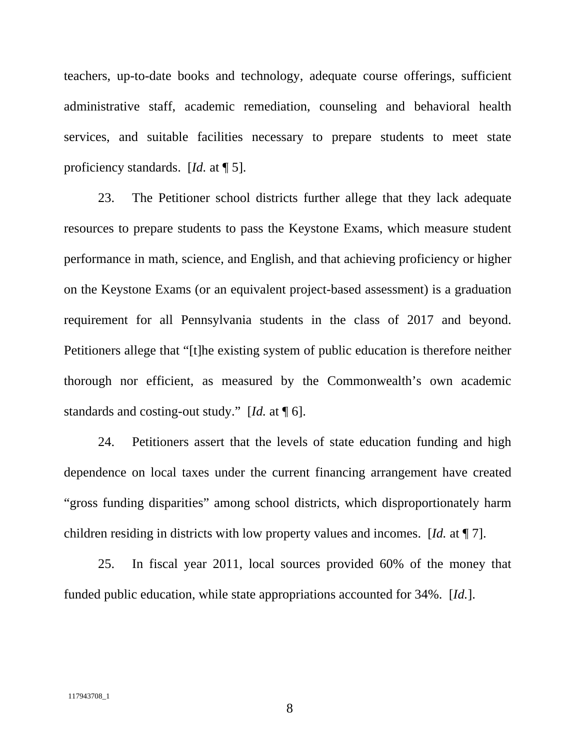teachers, up-to-date books and technology, adequate course offerings, sufficient administrative staff, academic remediation, counseling and behavioral health services, and suitable facilities necessary to prepare students to meet state proficiency standards. [*Id.* at ¶ 5].

23. The Petitioner school districts further allege that they lack adequate resources to prepare students to pass the Keystone Exams, which measure student performance in math, science, and English, and that achieving proficiency or higher on the Keystone Exams (or an equivalent project-based assessment) is a graduation requirement for all Pennsylvania students in the class of 2017 and beyond. Petitioners allege that "[t]he existing system of public education is therefore neither thorough nor efficient, as measured by the Commonwealth's own academic standards and costing-out study." [*Id.* at ¶ 6].

24. Petitioners assert that the levels of state education funding and high dependence on local taxes under the current financing arrangement have created "gross funding disparities" among school districts, which disproportionately harm children residing in districts with low property values and incomes. [*Id.* at ¶ 7].

25. In fiscal year 2011, local sources provided 60% of the money that funded public education, while state appropriations accounted for 34%. [*Id.*].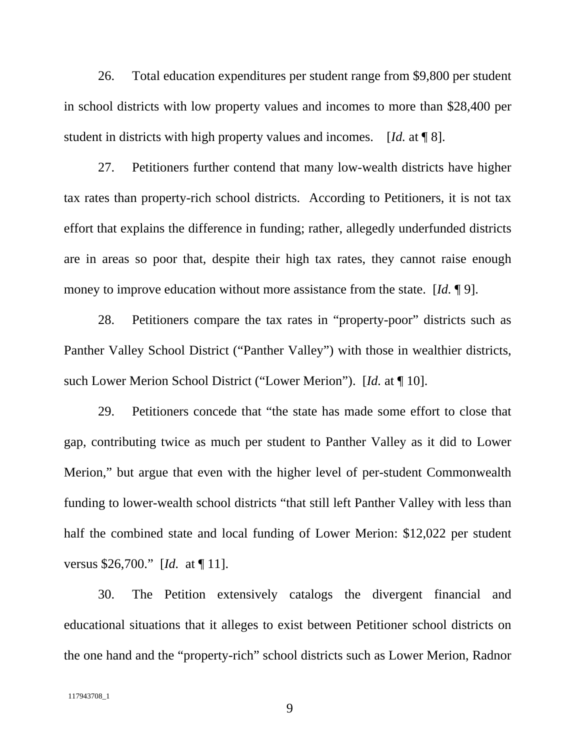26. Total education expenditures per student range from \$9,800 per student in school districts with low property values and incomes to more than \$28,400 per student in districts with high property values and incomes. [*Id.* at ¶ 8].

27. Petitioners further contend that many low-wealth districts have higher tax rates than property-rich school districts. According to Petitioners, it is not tax effort that explains the difference in funding; rather, allegedly underfunded districts are in areas so poor that, despite their high tax rates, they cannot raise enough money to improve education without more assistance from the state. [*Id.* ¶ 9].

28. Petitioners compare the tax rates in "property-poor" districts such as Panther Valley School District ("Panther Valley") with those in wealthier districts, such Lower Merion School District ("Lower Merion"). [*Id.* at ¶ 10].

29. Petitioners concede that "the state has made some effort to close that gap, contributing twice as much per student to Panther Valley as it did to Lower Merion," but argue that even with the higher level of per-student Commonwealth funding to lower-wealth school districts "that still left Panther Valley with less than half the combined state and local funding of Lower Merion: \$12,022 per student versus \$26,700." [*Id.* at ¶ 11].

30. The Petition extensively catalogs the divergent financial and educational situations that it alleges to exist between Petitioner school districts on the one hand and the "property-rich" school districts such as Lower Merion, Radnor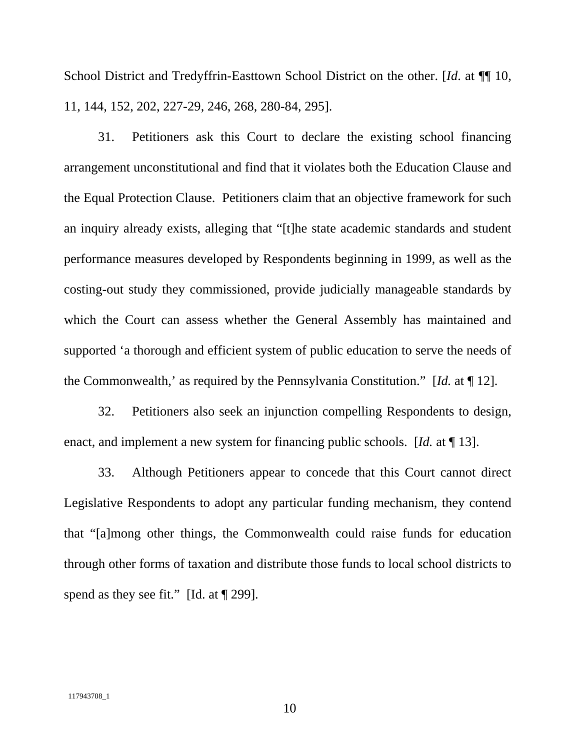School District and Tredyffrin-Easttown School District on the other. [*Id*. at ¶¶ 10, 11, 144, 152, 202, 227-29, 246, 268, 280-84, 295].

31. Petitioners ask this Court to declare the existing school financing arrangement unconstitutional and find that it violates both the Education Clause and the Equal Protection Clause. Petitioners claim that an objective framework for such an inquiry already exists, alleging that "[t]he state academic standards and student performance measures developed by Respondents beginning in 1999, as well as the costing-out study they commissioned, provide judicially manageable standards by which the Court can assess whether the General Assembly has maintained and supported 'a thorough and efficient system of public education to serve the needs of the Commonwealth,' as required by the Pennsylvania Constitution." [*Id.* at ¶ 12].

32. Petitioners also seek an injunction compelling Respondents to design, enact, and implement a new system for financing public schools. [*Id.* at ¶ 13].

33. Although Petitioners appear to concede that this Court cannot direct Legislative Respondents to adopt any particular funding mechanism, they contend that "[a]mong other things, the Commonwealth could raise funds for education through other forms of taxation and distribute those funds to local school districts to spend as they see fit." [Id. at  $\P$  299].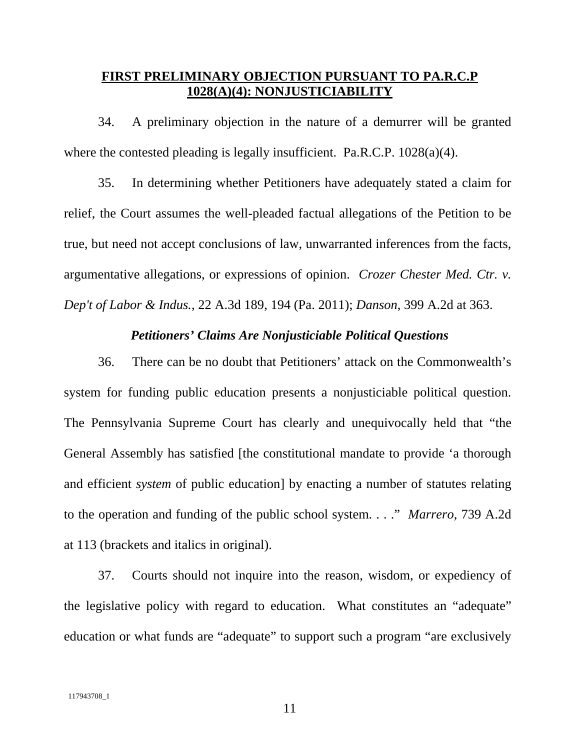# **FIRST PRELIMINARY OBJECTION PURSUANT TO PA.R.C.P 1028(A)(4): NONJUSTICIABILITY**

34. A preliminary objection in the nature of a demurrer will be granted where the contested pleading is legally insufficient. Pa.R.C.P. 1028(a)(4).

35. In determining whether Petitioners have adequately stated a claim for relief, the Court assumes the well-pleaded factual allegations of the Petition to be true, but need not accept conclusions of law, unwarranted inferences from the facts, argumentative allegations, or expressions of opinion. *Crozer Chester Med. Ctr. v. Dep't of Labor & Indus.*, 22 A.3d 189, 194 (Pa. 2011); *Danson*, 399 A.2d at 363.

# *Petitioners' Claims Are Nonjusticiable Political Questions*

36. There can be no doubt that Petitioners' attack on the Commonwealth's system for funding public education presents a nonjusticiable political question. The Pennsylvania Supreme Court has clearly and unequivocally held that "the General Assembly has satisfied [the constitutional mandate to provide 'a thorough and efficient *system* of public education] by enacting a number of statutes relating to the operation and funding of the public school system. . . ." *Marrero*, 739 A.2d at 113 (brackets and italics in original).

37. Courts should not inquire into the reason, wisdom, or expediency of the legislative policy with regard to education. What constitutes an "adequate" education or what funds are "adequate" to support such a program "are exclusively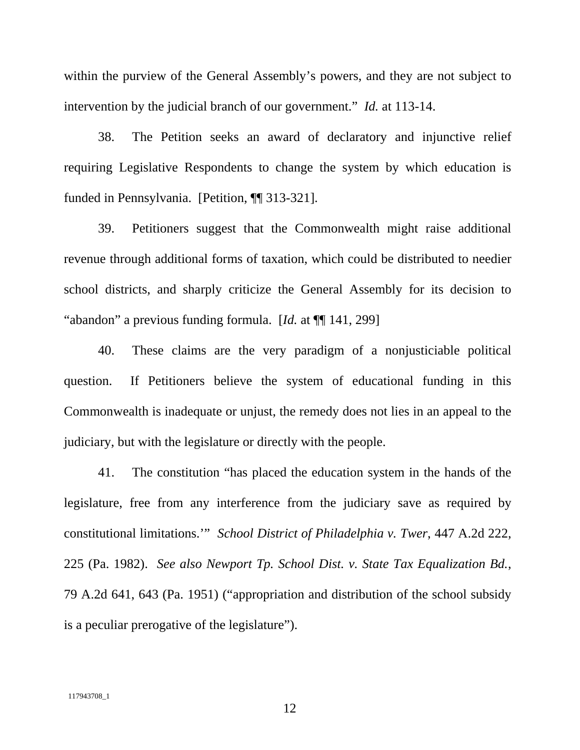within the purview of the General Assembly's powers, and they are not subject to intervention by the judicial branch of our government." *Id.* at 113-14.

38. The Petition seeks an award of declaratory and injunctive relief requiring Legislative Respondents to change the system by which education is funded in Pennsylvania. [Petition, ¶¶ 313-321].

39. Petitioners suggest that the Commonwealth might raise additional revenue through additional forms of taxation, which could be distributed to needier school districts, and sharply criticize the General Assembly for its decision to "abandon" a previous funding formula. [*Id.* at ¶¶ 141, 299]

40. These claims are the very paradigm of a nonjusticiable political question. If Petitioners believe the system of educational funding in this Commonwealth is inadequate or unjust, the remedy does not lies in an appeal to the judiciary, but with the legislature or directly with the people.

41. The constitution "has placed the education system in the hands of the legislature, free from any interference from the judiciary save as required by constitutional limitations.'" *School District of Philadelphia v. Twer*, 447 A.2d 222, 225 (Pa. 1982). *See also Newport Tp. School Dist. v. State Tax Equalization Bd.*, 79 A.2d 641, 643 (Pa. 1951) ("appropriation and distribution of the school subsidy is a peculiar prerogative of the legislature").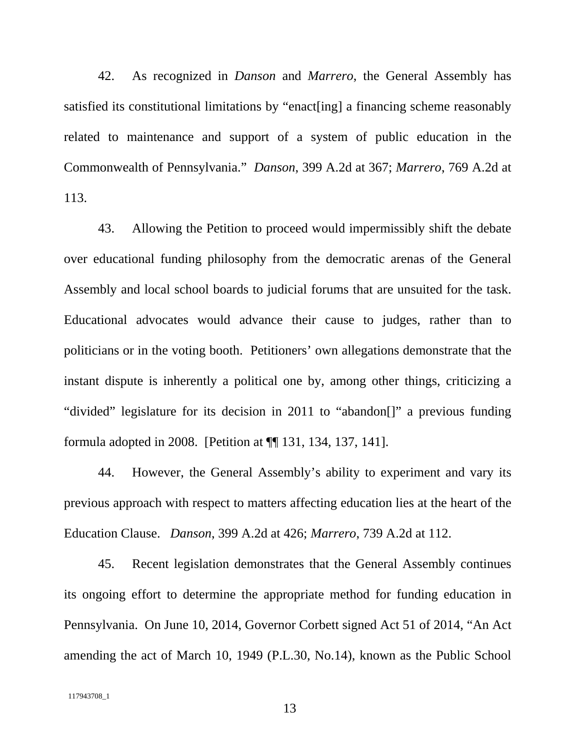42. As recognized in *Danson* and *Marrero*, the General Assembly has satisfied its constitutional limitations by "enact[ing] a financing scheme reasonably related to maintenance and support of a system of public education in the Commonwealth of Pennsylvania." *Danson*, 399 A.2d at 367; *Marrero*, 769 A.2d at 113.

43. Allowing the Petition to proceed would impermissibly shift the debate over educational funding philosophy from the democratic arenas of the General Assembly and local school boards to judicial forums that are unsuited for the task. Educational advocates would advance their cause to judges, rather than to politicians or in the voting booth. Petitioners' own allegations demonstrate that the instant dispute is inherently a political one by, among other things, criticizing a "divided" legislature for its decision in 2011 to "abandon[]" a previous funding formula adopted in 2008. [Petition at ¶¶ 131, 134, 137, 141].

44. However, the General Assembly's ability to experiment and vary its previous approach with respect to matters affecting education lies at the heart of the Education Clause. *Danson*, 399 A.2d at 426; *Marrero*, 739 A.2d at 112.

45. Recent legislation demonstrates that the General Assembly continues its ongoing effort to determine the appropriate method for funding education in Pennsylvania. On June 10, 2014, Governor Corbett signed Act 51 of 2014, "An Act amending the act of March 10, 1949 (P.L.30, No.14), known as the Public School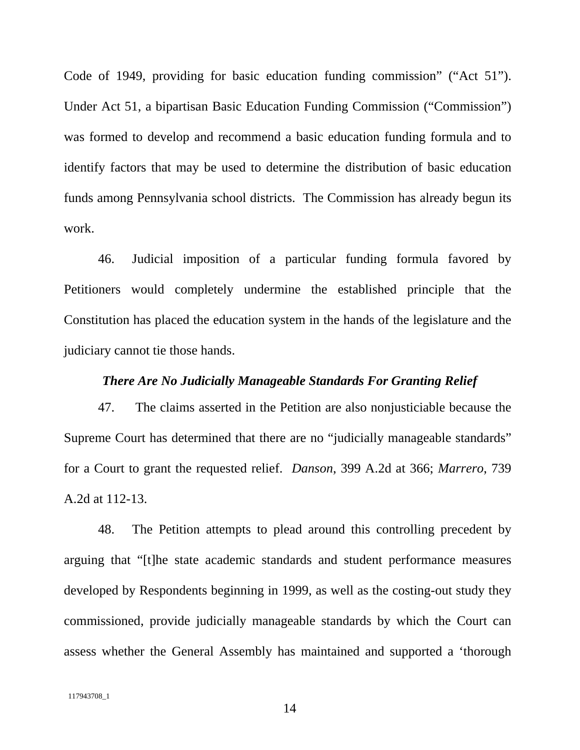Code of 1949, providing for basic education funding commission" ("Act 51"). Under Act 51, a bipartisan Basic Education Funding Commission ("Commission") was formed to develop and recommend a basic education funding formula and to identify factors that may be used to determine the distribution of basic education funds among Pennsylvania school districts. The Commission has already begun its work.

46. Judicial imposition of a particular funding formula favored by Petitioners would completely undermine the established principle that the Constitution has placed the education system in the hands of the legislature and the judiciary cannot tie those hands.

#### *There Are No Judicially Manageable Standards For Granting Relief*

47. The claims asserted in the Petition are also nonjusticiable because the Supreme Court has determined that there are no "judicially manageable standards" for a Court to grant the requested relief. *Danson*, 399 A.2d at 366; *Marrero*, 739 A.2d at 112-13.

48. The Petition attempts to plead around this controlling precedent by arguing that "[t]he state academic standards and student performance measures developed by Respondents beginning in 1999, as well as the costing-out study they commissioned, provide judicially manageable standards by which the Court can assess whether the General Assembly has maintained and supported a 'thorough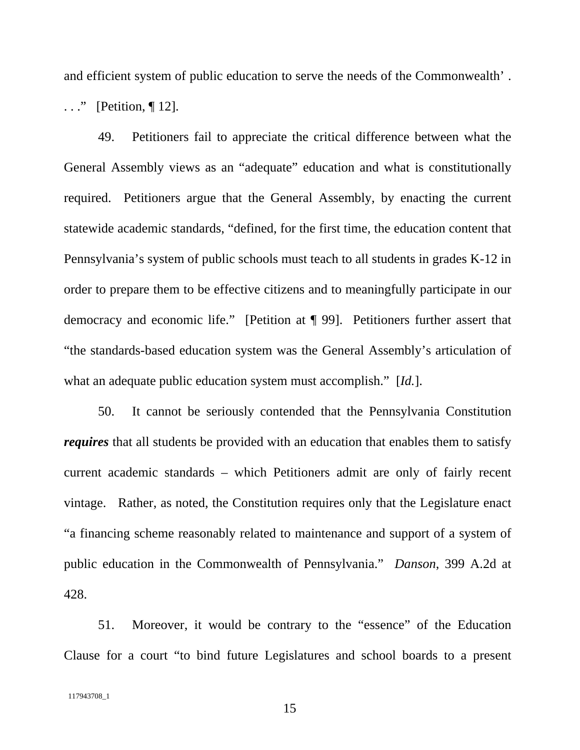and efficient system of public education to serve the needs of the Commonwealth' .

. . ." [Petition, ¶ 12].

49. Petitioners fail to appreciate the critical difference between what the General Assembly views as an "adequate" education and what is constitutionally required. Petitioners argue that the General Assembly, by enacting the current statewide academic standards, "defined, for the first time, the education content that Pennsylvania's system of public schools must teach to all students in grades K-12 in order to prepare them to be effective citizens and to meaningfully participate in our democracy and economic life." [Petition at ¶ 99]. Petitioners further assert that "the standards-based education system was the General Assembly's articulation of what an adequate public education system must accomplish." [*Id.*].

50. It cannot be seriously contended that the Pennsylvania Constitution *requires* that all students be provided with an education that enables them to satisfy current academic standards – which Petitioners admit are only of fairly recent vintage. Rather, as noted, the Constitution requires only that the Legislature enact "a financing scheme reasonably related to maintenance and support of a system of public education in the Commonwealth of Pennsylvania." *Danson*, 399 A.2d at 428.

51. Moreover, it would be contrary to the "essence" of the Education Clause for a court "to bind future Legislatures and school boards to a present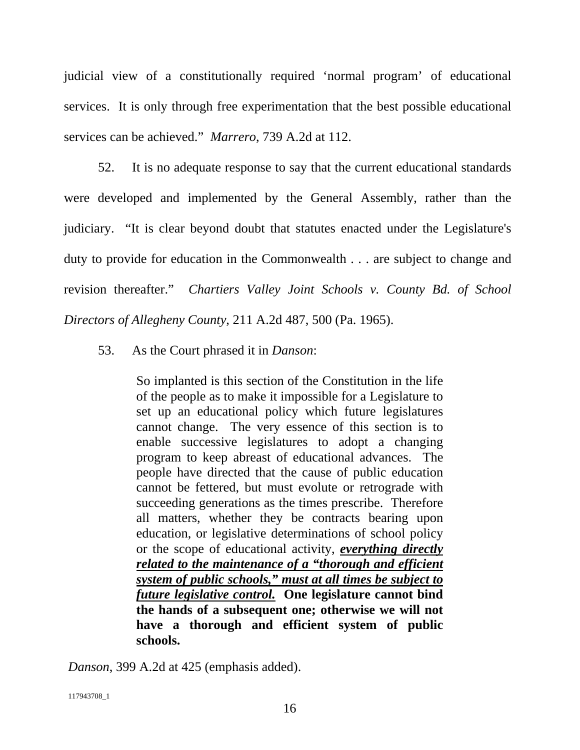judicial view of a constitutionally required 'normal program' of educational services. It is only through free experimentation that the best possible educational services can be achieved." *Marrero*, 739 A.2d at 112.

52. It is no adequate response to say that the current educational standards were developed and implemented by the General Assembly, rather than the judiciary. "It is clear beyond doubt that statutes enacted under the Legislature's duty to provide for education in the Commonwealth . . . are subject to change and revision thereafter." *Chartiers Valley Joint Schools v. County Bd. of School Directors of Allegheny County*, 211 A.2d 487, 500 (Pa. 1965).

53. As the Court phrased it in *Danson*:

So implanted is this section of the Constitution in the life of the people as to make it impossible for a Legislature to set up an educational policy which future legislatures cannot change. The very essence of this section is to enable successive legislatures to adopt a changing program to keep abreast of educational advances. The people have directed that the cause of public education cannot be fettered, but must evolute or retrograde with succeeding generations as the times prescribe. Therefore all matters, whether they be contracts bearing upon education, or legislative determinations of school policy or the scope of educational activity, *everything directly related to the maintenance of a "thorough and efficient system of public schools," must at all times be subject to future legislative control.* **One legislature cannot bind the hands of a subsequent one; otherwise we will not have a thorough and efficient system of public schools.**

*Danson*, 399 A.2d at 425 (emphasis added).

117943708\_1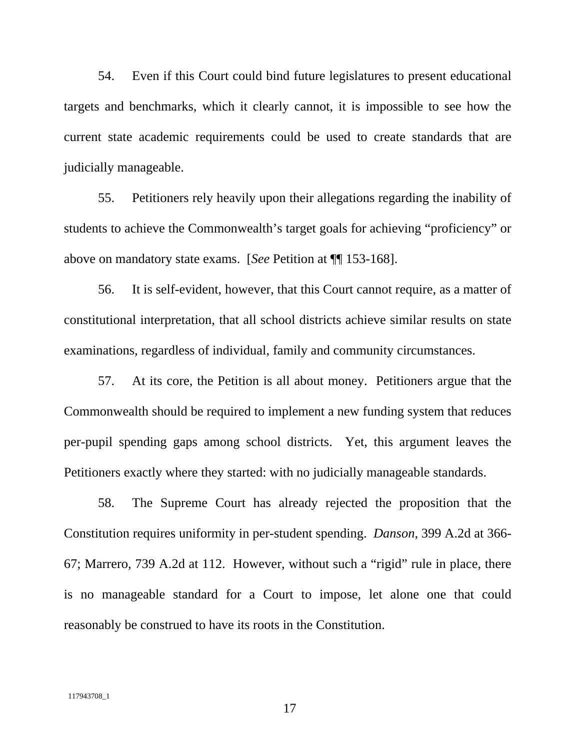54. Even if this Court could bind future legislatures to present educational targets and benchmarks, which it clearly cannot, it is impossible to see how the current state academic requirements could be used to create standards that are judicially manageable.

55. Petitioners rely heavily upon their allegations regarding the inability of students to achieve the Commonwealth's target goals for achieving "proficiency" or above on mandatory state exams. [*See* Petition at ¶¶ 153-168].

56. It is self-evident, however, that this Court cannot require, as a matter of constitutional interpretation, that all school districts achieve similar results on state examinations, regardless of individual, family and community circumstances.

57. At its core, the Petition is all about money. Petitioners argue that the Commonwealth should be required to implement a new funding system that reduces per-pupil spending gaps among school districts. Yet, this argument leaves the Petitioners exactly where they started: with no judicially manageable standards.

58. The Supreme Court has already rejected the proposition that the Constitution requires uniformity in per-student spending. *Danson*, 399 A.2d at 366- 67; Marrero, 739 A.2d at 112. However, without such a "rigid" rule in place, there is no manageable standard for a Court to impose, let alone one that could reasonably be construed to have its roots in the Constitution.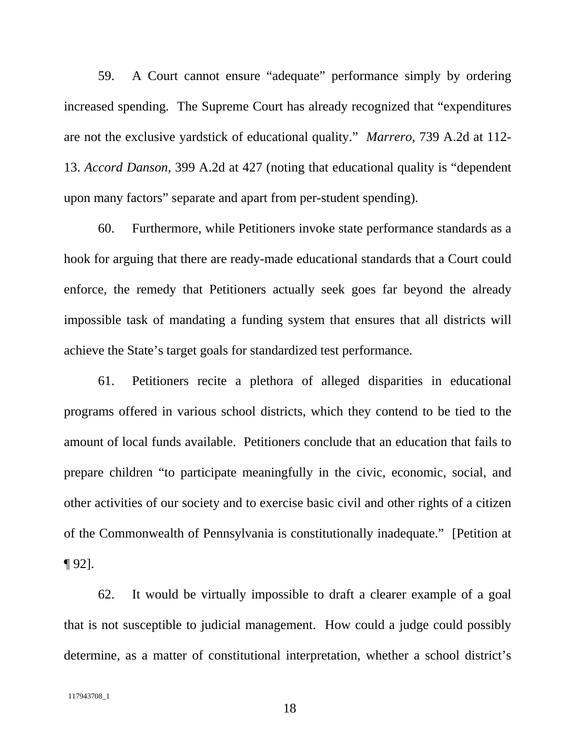59. A Court cannot ensure "adequate" performance simply by ordering increased spending. The Supreme Court has already recognized that "expenditures are not the exclusive yardstick of educational quality." *Marrero*, 739 A.2d at 112- 13. *Accord Danson*, 399 A.2d at 427 (noting that educational quality is "dependent upon many factors" separate and apart from per-student spending).

60. Furthermore, while Petitioners invoke state performance standards as a hook for arguing that there are ready-made educational standards that a Court could enforce, the remedy that Petitioners actually seek goes far beyond the already impossible task of mandating a funding system that ensures that all districts will achieve the State's target goals for standardized test performance.

61. Petitioners recite a plethora of alleged disparities in educational programs offered in various school districts, which they contend to be tied to the amount of local funds available. Petitioners conclude that an education that fails to prepare children "to participate meaningfully in the civic, economic, social, and other activities of our society and to exercise basic civil and other rights of a citizen of the Commonwealth of Pennsylvania is constitutionally inadequate." [Petition at ¶ 92].

62. It would be virtually impossible to draft a clearer example of a goal that is not susceptible to judicial management. How could a judge could possibly determine, as a matter of constitutional interpretation, whether a school district's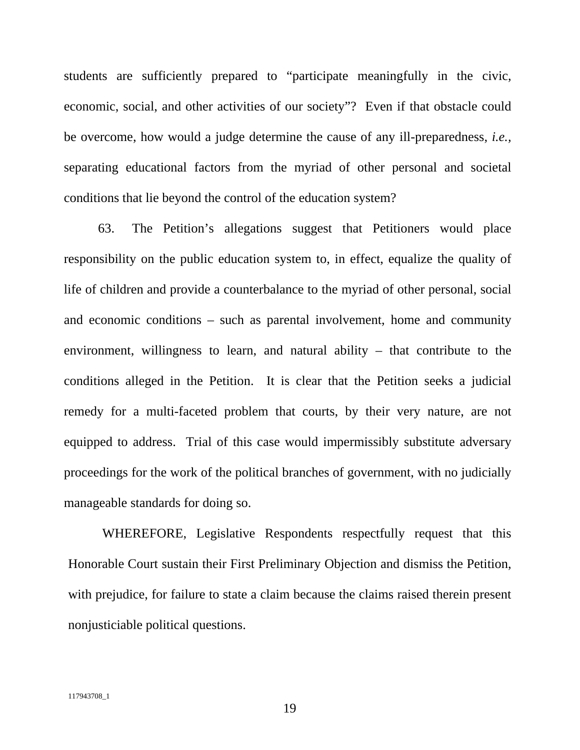students are sufficiently prepared to "participate meaningfully in the civic, economic, social, and other activities of our society"? Even if that obstacle could be overcome, how would a judge determine the cause of any ill-preparedness, *i.e.,* separating educational factors from the myriad of other personal and societal conditions that lie beyond the control of the education system?

63. The Petition's allegations suggest that Petitioners would place responsibility on the public education system to, in effect, equalize the quality of life of children and provide a counterbalance to the myriad of other personal, social and economic conditions – such as parental involvement, home and community environment, willingness to learn, and natural ability – that contribute to the conditions alleged in the Petition. It is clear that the Petition seeks a judicial remedy for a multi-faceted problem that courts, by their very nature, are not equipped to address. Trial of this case would impermissibly substitute adversary proceedings for the work of the political branches of government, with no judicially manageable standards for doing so.

WHEREFORE, Legislative Respondents respectfully request that this Honorable Court sustain their First Preliminary Objection and dismiss the Petition, with prejudice, for failure to state a claim because the claims raised therein present nonjusticiable political questions.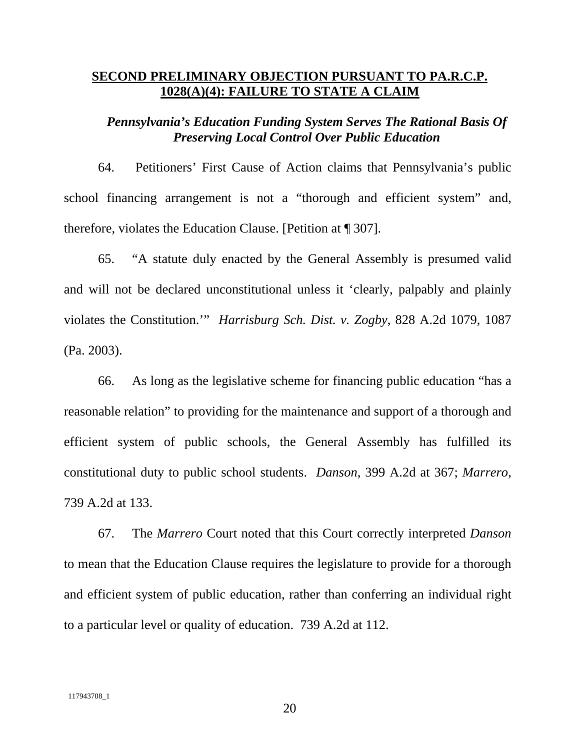### **SECOND PRELIMINARY OBJECTION PURSUANT TO PA.R.C.P. 1028(A)(4): FAILURE TO STATE A CLAIM**

## *Pennsylvania's Education Funding System Serves The Rational Basis Of Preserving Local Control Over Public Education*

64. Petitioners' First Cause of Action claims that Pennsylvania's public school financing arrangement is not a "thorough and efficient system" and, therefore, violates the Education Clause. [Petition at ¶ 307].

65. "A statute duly enacted by the General Assembly is presumed valid and will not be declared unconstitutional unless it 'clearly, palpably and plainly violates the Constitution.'" *Harrisburg Sch. Dist. v. Zogby*, 828 A.2d 1079, 1087 (Pa. 2003).

66. As long as the legislative scheme for financing public education "has a reasonable relation" to providing for the maintenance and support of a thorough and efficient system of public schools, the General Assembly has fulfilled its constitutional duty to public school students. *Danson*, 399 A.2d at 367; *Marrero*, 739 A.2d at 133.

67. The *Marrero* Court noted that this Court correctly interpreted *Danson* to mean that the Education Clause requires the legislature to provide for a thorough and efficient system of public education, rather than conferring an individual right to a particular level or quality of education. 739 A.2d at 112.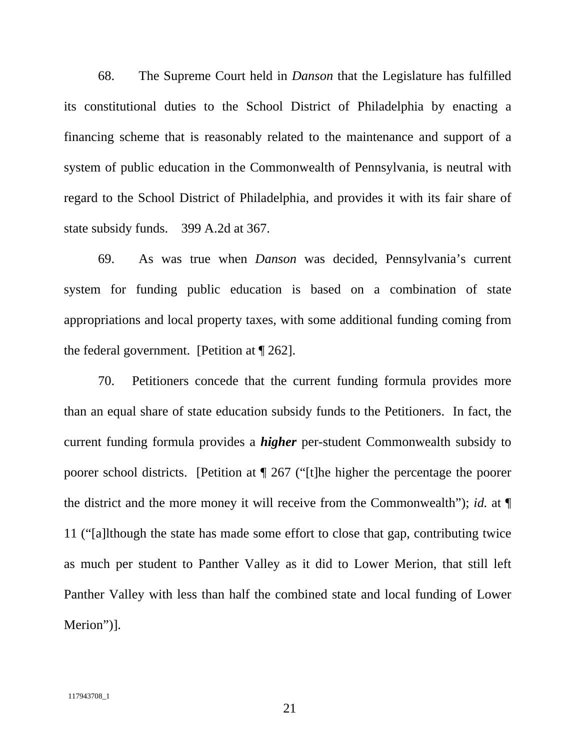68. The Supreme Court held in *Danson* that the Legislature has fulfilled its constitutional duties to the School District of Philadelphia by enacting a financing scheme that is reasonably related to the maintenance and support of a system of public education in the Commonwealth of Pennsylvania, is neutral with regard to the School District of Philadelphia, and provides it with its fair share of state subsidy funds. 399 A.2d at 367.

69. As was true when *Danson* was decided, Pennsylvania's current system for funding public education is based on a combination of state appropriations and local property taxes, with some additional funding coming from the federal government. [Petition at ¶ 262].

70. Petitioners concede that the current funding formula provides more than an equal share of state education subsidy funds to the Petitioners. In fact, the current funding formula provides a *higher* per-student Commonwealth subsidy to poorer school districts. [Petition at ¶ 267 ("[t]he higher the percentage the poorer the district and the more money it will receive from the Commonwealth"); *id.* at ¶ 11 ("[a]lthough the state has made some effort to close that gap, contributing twice as much per student to Panther Valley as it did to Lower Merion, that still left Panther Valley with less than half the combined state and local funding of Lower Merion")].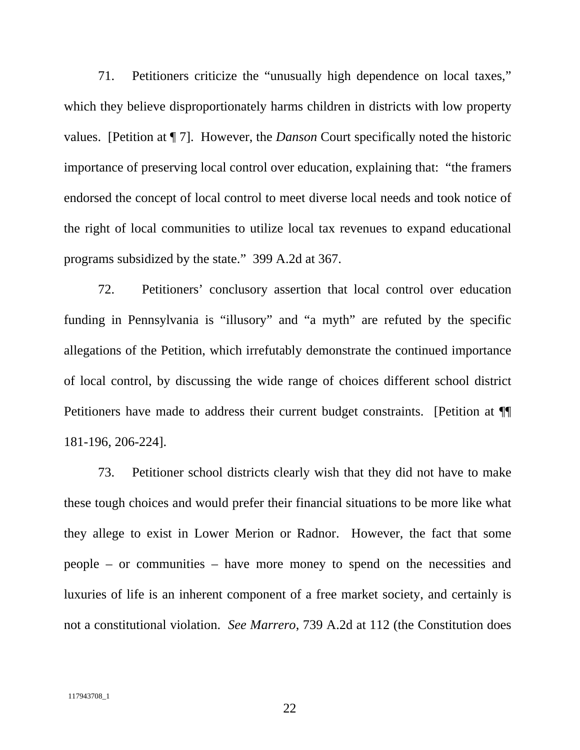71. Petitioners criticize the "unusually high dependence on local taxes," which they believe disproportionately harms children in districts with low property values. [Petition at ¶ 7]. However, the *Danson* Court specifically noted the historic importance of preserving local control over education, explaining that: "the framers endorsed the concept of local control to meet diverse local needs and took notice of the right of local communities to utilize local tax revenues to expand educational programs subsidized by the state." 399 A.2d at 367.

72. Petitioners' conclusory assertion that local control over education funding in Pennsylvania is "illusory" and "a myth" are refuted by the specific allegations of the Petition, which irrefutably demonstrate the continued importance of local control, by discussing the wide range of choices different school district Petitioners have made to address their current budget constraints. [Petition at  $\P$ 181-196, 206-224].

73. Petitioner school districts clearly wish that they did not have to make these tough choices and would prefer their financial situations to be more like what they allege to exist in Lower Merion or Radnor. However, the fact that some people – or communities – have more money to spend on the necessities and luxuries of life is an inherent component of a free market society, and certainly is not a constitutional violation. *See Marrero*, 739 A.2d at 112 (the Constitution does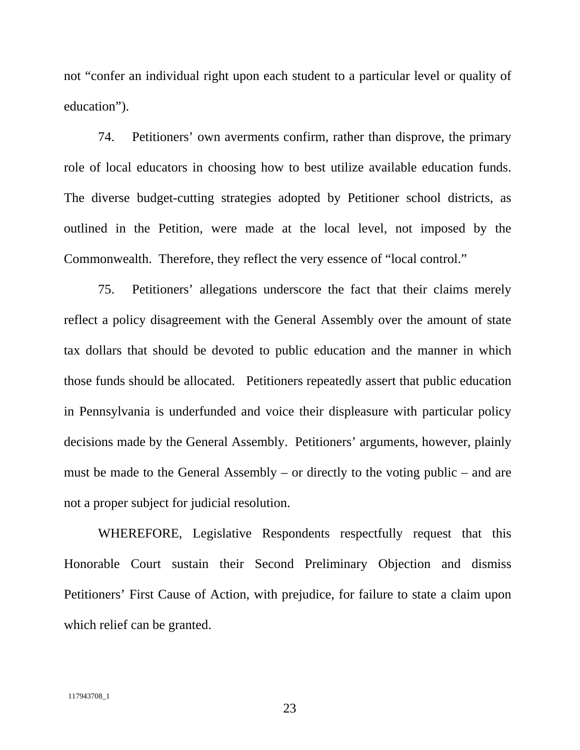not "confer an individual right upon each student to a particular level or quality of education").

74. Petitioners' own averments confirm, rather than disprove, the primary role of local educators in choosing how to best utilize available education funds. The diverse budget-cutting strategies adopted by Petitioner school districts, as outlined in the Petition, were made at the local level, not imposed by the Commonwealth. Therefore, they reflect the very essence of "local control."

75. Petitioners' allegations underscore the fact that their claims merely reflect a policy disagreement with the General Assembly over the amount of state tax dollars that should be devoted to public education and the manner in which those funds should be allocated. Petitioners repeatedly assert that public education in Pennsylvania is underfunded and voice their displeasure with particular policy decisions made by the General Assembly. Petitioners' arguments, however, plainly must be made to the General Assembly – or directly to the voting public – and are not a proper subject for judicial resolution.

WHEREFORE, Legislative Respondents respectfully request that this Honorable Court sustain their Second Preliminary Objection and dismiss Petitioners' First Cause of Action, with prejudice, for failure to state a claim upon which relief can be granted.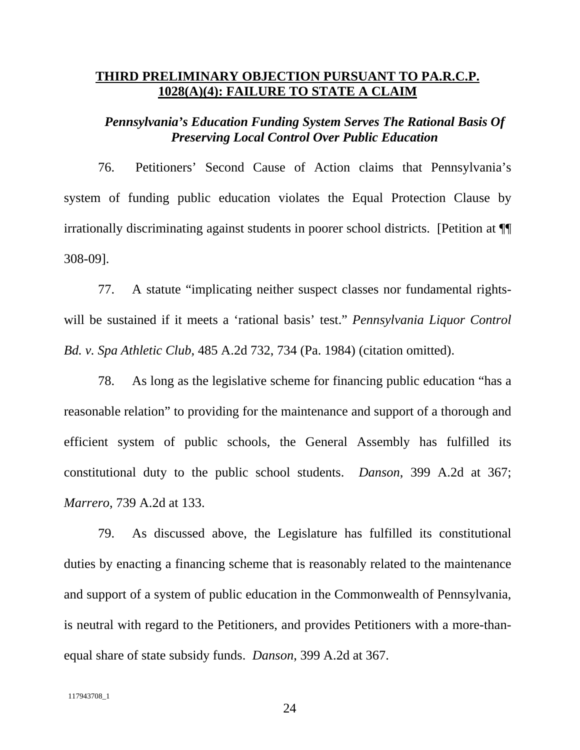## **THIRD PRELIMINARY OBJECTION PURSUANT TO PA.R.C.P. 1028(A)(4): FAILURE TO STATE A CLAIM**

## *Pennsylvania's Education Funding System Serves The Rational Basis Of Preserving Local Control Over Public Education*

76. Petitioners' Second Cause of Action claims that Pennsylvania's system of funding public education violates the Equal Protection Clause by irrationally discriminating against students in poorer school districts. [Petition at ¶¶ 308-09].

77. A statute "implicating neither suspect classes nor fundamental rightswill be sustained if it meets a 'rational basis' test." *Pennsylvania Liquor Control Bd. v. Spa Athletic Club*, 485 A.2d 732, 734 (Pa. 1984) (citation omitted).

78. As long as the legislative scheme for financing public education "has a reasonable relation" to providing for the maintenance and support of a thorough and efficient system of public schools, the General Assembly has fulfilled its constitutional duty to the public school students. *Danson*, 399 A.2d at 367; *Marrero*, 739 A.2d at 133.

79. As discussed above, the Legislature has fulfilled its constitutional duties by enacting a financing scheme that is reasonably related to the maintenance and support of a system of public education in the Commonwealth of Pennsylvania, is neutral with regard to the Petitioners, and provides Petitioners with a more-thanequal share of state subsidy funds. *Danson*, 399 A.2d at 367.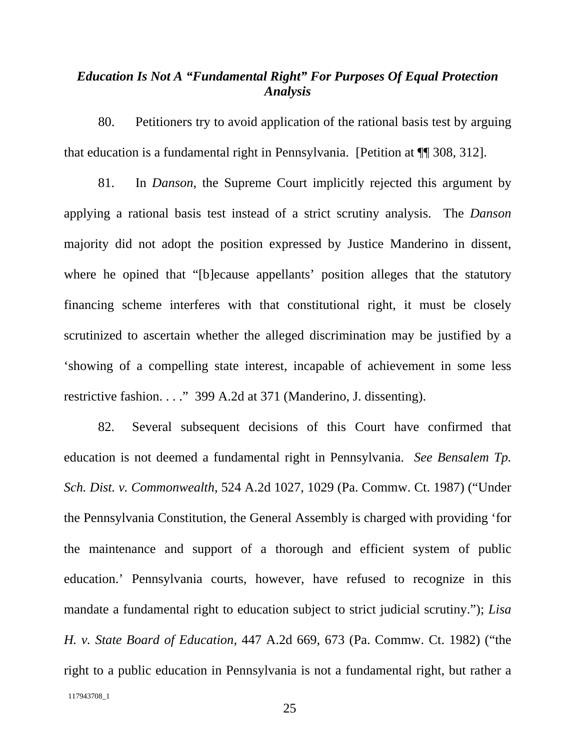# *Education Is Not A "Fundamental Right" For Purposes Of Equal Protection Analysis*

80. Petitioners try to avoid application of the rational basis test by arguing that education is a fundamental right in Pennsylvania. [Petition at ¶¶ 308, 312].

81. In *Danson*, the Supreme Court implicitly rejected this argument by applying a rational basis test instead of a strict scrutiny analysis. The *Danson* majority did not adopt the position expressed by Justice Manderino in dissent, where he opined that "[b]ecause appellants' position alleges that the statutory financing scheme interferes with that constitutional right, it must be closely scrutinized to ascertain whether the alleged discrimination may be justified by a 'showing of a compelling state interest, incapable of achievement in some less restrictive fashion. . . ." 399 A.2d at 371 (Manderino, J. dissenting).

117943708\_1 82. Several subsequent decisions of this Court have confirmed that education is not deemed a fundamental right in Pennsylvania. *See Bensalem Tp. Sch. Dist. v. Commonwealth*, 524 A.2d 1027, 1029 (Pa. Commw. Ct. 1987) ("Under the Pennsylvania Constitution, the General Assembly is charged with providing 'for the maintenance and support of a thorough and efficient system of public education.' Pennsylvania courts, however, have refused to recognize in this mandate a fundamental right to education subject to strict judicial scrutiny."); *Lisa H. v. State Board of Education*, 447 A.2d 669, 673 (Pa. Commw. Ct. 1982) ("the right to a public education in Pennsylvania is not a fundamental right, but rather a